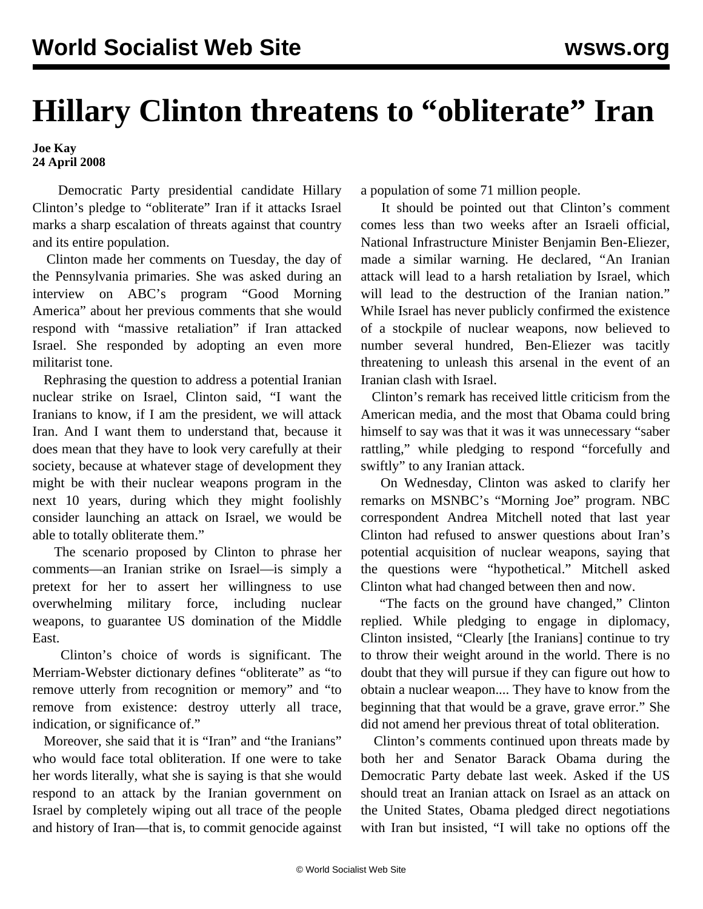## **Hillary Clinton threatens to "obliterate" Iran**

## **Joe Kay 24 April 2008**

 Democratic Party presidential candidate Hillary Clinton's pledge to "obliterate" Iran if it attacks Israel marks a sharp escalation of threats against that country and its entire population.

 Clinton made her comments on Tuesday, the day of the Pennsylvania primaries. She was asked during an interview on ABC's program "Good Morning America" about her previous comments that she would respond with "massive retaliation" if Iran attacked Israel. She responded by adopting an even more militarist tone.

 Rephrasing the question to address a potential Iranian nuclear strike on Israel, Clinton said, "I want the Iranians to know, if I am the president, we will attack Iran. And I want them to understand that, because it does mean that they have to look very carefully at their society, because at whatever stage of development they might be with their nuclear weapons program in the next 10 years, during which they might foolishly consider launching an attack on Israel, we would be able to totally obliterate them."

 The scenario proposed by Clinton to phrase her comments—an Iranian strike on Israel—is simply a pretext for her to assert her willingness to use overwhelming military force, including nuclear weapons, to guarantee US domination of the Middle East.

 Clinton's choice of words is significant. The Merriam-Webster dictionary defines "obliterate" as "to remove utterly from recognition or memory" and "to remove from existence: destroy utterly all trace, indication, or significance of."

 Moreover, she said that it is "Iran" and "the Iranians" who would face total obliteration. If one were to take her words literally, what she is saying is that she would respond to an attack by the Iranian government on Israel by completely wiping out all trace of the people and history of Iran—that is, to commit genocide against a population of some 71 million people.

 It should be pointed out that Clinton's comment comes less than two weeks after an Israeli official, National Infrastructure Minister Benjamin Ben-Eliezer, made a similar warning. He declared, "An Iranian attack will lead to a harsh retaliation by Israel, which will lead to the destruction of the Iranian nation." While Israel has never publicly confirmed the existence of a stockpile of nuclear weapons, now believed to number several hundred, Ben-Eliezer was tacitly threatening to unleash this arsenal in the event of an Iranian clash with Israel.

 Clinton's remark has received little criticism from the American media, and the most that Obama could bring himself to say was that it was it was unnecessary "saber rattling," while pledging to respond "forcefully and swiftly" to any Iranian attack.

 On Wednesday, Clinton was asked to clarify her remarks on MSNBC's "Morning Joe" program. NBC correspondent Andrea Mitchell noted that last year Clinton had refused to answer questions about Iran's potential acquisition of nuclear weapons, saying that the questions were "hypothetical." Mitchell asked Clinton what had changed between then and now.

 "The facts on the ground have changed," Clinton replied. While pledging to engage in diplomacy, Clinton insisted, "Clearly [the Iranians] continue to try to throw their weight around in the world. There is no doubt that they will pursue if they can figure out how to obtain a nuclear weapon.... They have to know from the beginning that that would be a grave, grave error." She did not amend her previous threat of total obliteration.

 Clinton's comments continued upon threats made by both her and Senator Barack Obama during the Democratic Party debate last week. Asked if the US should treat an Iranian attack on Israel as an attack on the United States, Obama pledged direct negotiations with Iran but insisted, "I will take no options off the